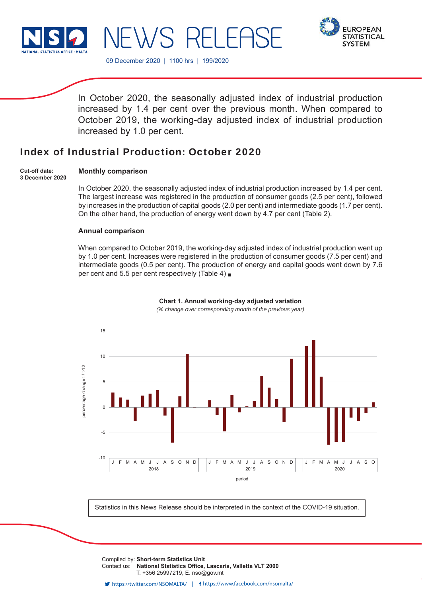



09 December 2020 | 1100 hrs | 199/2020

In October 2020, the seasonally adjusted index of industrial production increased by 1.4 per cent over the previous month. When compared to October 2019, the working-day adjusted index of industrial production increased by 1.0 per cent.

# Index of Industrial Production: October 2020

**Cut-off date: 3 December 2020**

## **Monthly comparison**

In October 2020, the seasonally adjusted index of industrial production increased by 1.4 per cent. The largest increase was registered in the production of consumer goods (2.5 per cent), followed by increases in the production of capital goods (2.0 per cent) and intermediate goods (1.7 per cent). On the other hand, the production of energy went down by 4.7 per cent (Table 2).

### **Annual comparison**

When compared to October 2019, the working-day adjusted index of industrial production went up by 1.0 per cent. Increases were registered in the production of consumer goods (7.5 per cent) and intermediate goods (0.5 per cent). The production of energy and capital goods went down by 7.6 per cent and 5.5 per cent respectively (Table 4)



**Chart 1. Annual working-day adjusted variation**

*(% change over corresponding month of the previous year)*

Statistics in this News Release should be interpreted in the context of the COVID-19 situation.

Compiled by: **Short-term Statistics Unit** Contact us: National Statistics Office, Lascaris, Valletta VLT 2000 T. +356 25997219, E. nso@gov.mt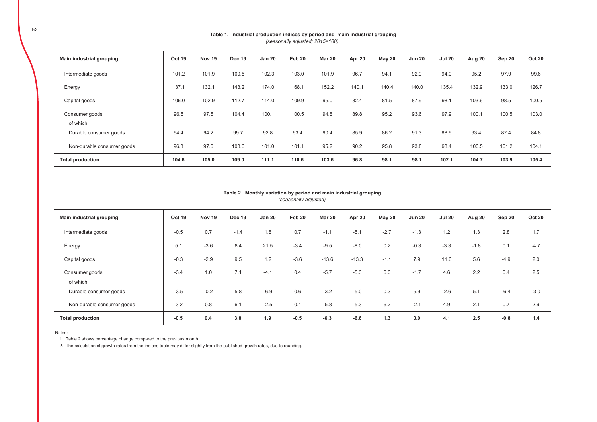| Main industrial grouping   | Oct 19 | <b>Nov 19</b> | <b>Dec 19</b> | <b>Jan 20</b> | Feb 20 | <b>Mar 20</b> | Apr 20 | <b>May 20</b> | <b>Jun 20</b> | <b>Jul 20</b> | Aug 20 | Sep 20 | <b>Oct 20</b> |
|----------------------------|--------|---------------|---------------|---------------|--------|---------------|--------|---------------|---------------|---------------|--------|--------|---------------|
| Intermediate goods         | 101.2  | 101.9         | 100.5         | 102.3         | 103.0  | 101.9         | 96.7   | 94.1          | 92.9          | 94.0          | 95.2   | 97.9   | 99.6          |
| Energy                     | 137.1  | 132.1         | 143.2         | 174.0         | 168.1  | 152.2         | 140.1  | 140.4         | 140.0         | 135.4         | 132.9  | 133.0  | 126.7         |
| Capital goods              | 106.0  | 102.9         | 112.7         | 114.0         | 109.9  | 95.0          | 82.4   | 81.5          | 87.9          | 98.1          | 103.6  | 98.5   | 100.5         |
| Consumer goods             | 96.5   | 97.5          | 104.4         | 100.1         | 100.5  | 94.8          | 89.8   | 95.2          | 93.6          | 97.9          | 100.1  | 100.5  | 103.0         |
| of which:                  |        |               |               |               |        |               |        |               |               |               |        |        |               |
| Durable consumer goods     | 94.4   | 94.2          | 99.7          | 92.8          | 93.4   | 90.4          | 85.9   | 86.2          | 91.3          | 88.9          | 93.4   | 87.4   | 84.8          |
| Non-durable consumer goods | 96.8   | 97.6          | 103.6         | 101.0         | 101.1  | 95.2          | 90.2   | 95.8          | 93.8          | 98.4          | 100.5  | 101.2  | 104.1         |
| <b>Total production</b>    | 104.6  | 105.0         | 109.0         | 111.1         | 110.6  | 103.6         | 96.8   | 98.1          | 98.1          | 102.1         | 104.7  | 103.9  | 105.4         |

#### Table 1. Industrial production indices by period and main industrial grouping *(seasonally adjusted; 2015=100)*

#### *(seasonally adjusted)* Table 2. Monthly variation by period and main industrial grouping

| Main industrial grouping   | Oct 19 | Nov 19 | <b>Dec 19</b> | <b>Jan 20</b> | Feb 20 | <b>Mar 20</b> | Apr 20  | <b>May 20</b> | <b>Jun 20</b> | <b>Jul 20</b> | Aug 20 | Sep 20 | <b>Oct 20</b> |
|----------------------------|--------|--------|---------------|---------------|--------|---------------|---------|---------------|---------------|---------------|--------|--------|---------------|
| Intermediate goods         | $-0.5$ | 0.7    | $-1.4$        | 1.8           | 0.7    | $-1.1$        | $-5.1$  | $-2.7$        | $-1.3$        | 1.2           | 1.3    | 2.8    | 1.7           |
| Energy                     | 5.1    | $-3.6$ | 8.4           | 21.5          | $-3.4$ | $-9.5$        | $-8.0$  | 0.2           | $-0.3$        | $-3.3$        | $-1.8$ | 0.1    | $-4.7$        |
| Capital goods              | $-0.3$ | $-2.9$ | 9.5           | 1.2           | $-3.6$ | $-13.6$       | $-13.3$ | $-1.1$        | 7.9           | 11.6          | 5.6    | $-4.9$ | 2.0           |
| Consumer goods             | $-3.4$ | 1.0    | 7.1           | $-4.1$        | 0.4    | $-5.7$        | $-5.3$  | 6.0           | $-1.7$        | 4.6           | 2.2    | 0.4    | 2.5           |
| of which:                  |        |        |               |               |        |               |         |               |               |               |        |        |               |
| Durable consumer goods     | $-3.5$ | $-0.2$ | 5.8           | $-6.9$        | 0.6    | $-3.2$        | $-5.0$  | 0.3           | 5.9           | $-2.6$        | 5.1    | $-6.4$ | $-3.0$        |
| Non-durable consumer goods | $-3.2$ | 0.8    | 6.1           | $-2.5$        | 0.1    | $-5.8$        | $-5.3$  | 6.2           | $-2.1$        | 4.9           | 2.1    | 0.7    | 2.9           |
| <b>Total production</b>    | $-0.5$ | 0.4    | 3.8           | 1.9           | $-0.5$ | $-6.3$        | $-6.6$  | 1.3           | 0.0           | 4.1           | 2.5    | $-0.8$ | 1.4           |

Notes:

1. Table 2 shows percentage change compared to the previous month.

2. The calculation of growth rates from the indices table may differ slightly from the published growth rates, due to rounding.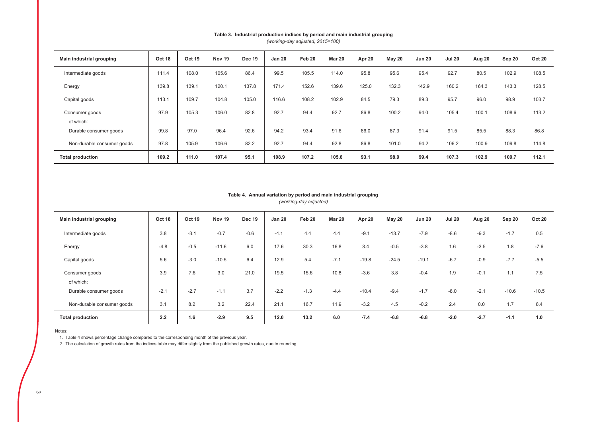| Main industrial grouping   | Oct 18 | <b>Oct 19</b> | Nov 19 | <b>Dec 19</b> | <b>Jan 20</b> | Feb 20 | Mar 20 | Apr 20 | May 20 | <b>Jun 20</b> | <b>Jul 20</b> | Aug 20 | Sep 20 | <b>Oct 20</b> |
|----------------------------|--------|---------------|--------|---------------|---------------|--------|--------|--------|--------|---------------|---------------|--------|--------|---------------|
| Intermediate goods         | 111.4  | 108.0         | 105.6  | 86.4          | 99.5          | 105.5  | 114.0  | 95.8   | 95.6   | 95.4          | 92.7          | 80.5   | 102.9  | 108.5         |
| Energy                     | 139.8  | 139.7         | 120.1  | 137.8         | 171.4         | 152.6  | 139.6  | 125.0  | 132.3  | 142.9         | 160.2         | 164.3  | 143.3  | 128.5         |
| Capital goods              | 113.1  | 109.7         | 104.8  | 105.0         | 116.6         | 108.2  | 102.9  | 84.5   | 79.3   | 89.3          | 95.7          | 96.0   | 98.9   | 103.7         |
| Consumer goods             | 97.9   | 105.3         | 106.0  | 82.8          | 92.7          | 94.4   | 92.7   | 86.8   | 100.2  | 94.0          | 105.4         | 100.1  | 108.6  | 113.2         |
| of which:                  |        |               |        |               |               |        |        |        |        |               |               |        |        |               |
| Durable consumer goods     | 99.8   | 97.0          | 96.4   | 92.6          | 94.2          | 93.4   | 91.6   | 86.0   | 87.3   | 91.4          | 91.5          | 85.5   | 88.3   | 86.8          |
| Non-durable consumer goods | 97.8   | 105.9         | 106.6  | 82.2          | 92.7          | 94.4   | 92.8   | 86.8   | 101.0  | 94.2          | 106.2         | 100.9  | 109.8  | 114.8         |
| <b>Total production</b>    | 109.2  | 111.0         | 107.4  | 95.1          | 108.9         | 107.2  | 105.6  | 93.1   | 98.9   | 99.4          | 107.3         | 102.9  | 109.7  | 112.1         |

#### *(working-day adjusted; 2015=100)* Table 3. Industrial production indices by period and main industrial grouping

#### *(working-day adjusted)* Table 4. Annual variation by period and main industrial grouping

| Main industrial grouping    | Oct 18 | Oct 19 | <b>Nov 19</b> | Dec 19 | <b>Jan 20</b> | Feb 20 | <b>Mar 20</b> | Apr 20  | May 20  | <b>Jun 20</b> | <b>Jul 20</b> | Aug 20 | Sep 20  | Oct 20  |
|-----------------------------|--------|--------|---------------|--------|---------------|--------|---------------|---------|---------|---------------|---------------|--------|---------|---------|
| Intermediate goods          | 3.8    | $-3.1$ | $-0.7$        | $-0.6$ | $-4.1$        | 4.4    | 4.4           | $-9.1$  | $-13.7$ | $-7.9$        | $-8.6$        | $-9.3$ | $-1.7$  | 0.5     |
| Energy                      | $-4.8$ | $-0.5$ | $-11.6$       | 6.0    | 17.6          | 30.3   | 16.8          | 3.4     | $-0.5$  | $-3.8$        | 1.6           | $-3.5$ | 1.8     | $-7.6$  |
| Capital goods               | 5.6    | $-3.0$ | $-10.5$       | 6.4    | 12.9          | 5.4    | $-7.1$        | $-19.8$ | $-24.5$ | $-19.1$       | $-6.7$        | $-0.9$ | $-7.7$  | $-5.5$  |
| Consumer goods<br>of which: | 3.9    | 7.6    | 3.0           | 21.0   | 19.5          | 15.6   | 10.8          | $-3.6$  | 3.8     | $-0.4$        | 1.9           | $-0.1$ | 1.1     | 7.5     |
| Durable consumer goods      | $-2.1$ | $-2.7$ | $-1.1$        | 3.7    | $-2.2$        | $-1.3$ | $-4.4$        | $-10.4$ | $-9.4$  | $-1.7$        | $-8.0$        | $-2.1$ | $-10.6$ | $-10.5$ |
| Non-durable consumer goods  | 3.1    | 8.2    | 3.2           | 22.4   | 21.1          | 16.7   | 11.9          | $-3.2$  | 4.5     | $-0.2$        | 2.4           | 0.0    | 1.7     | 8.4     |
| <b>Total production</b>     | 2.2    | 1.6    | $-2.9$        | 9.5    | 12.0          | 13.2   | 6.0           | $-7.4$  | $-6.8$  | $-6.8$        | $-2.0$        | $-2.7$ | $-1.1$  | 1.0     |

Notes:

1. Table 4 shows percentage change compared to the corresponding month of the previous year.

2. The calculation of growth rates from the indices table may differ slightly from the published growth rates, due to rounding.